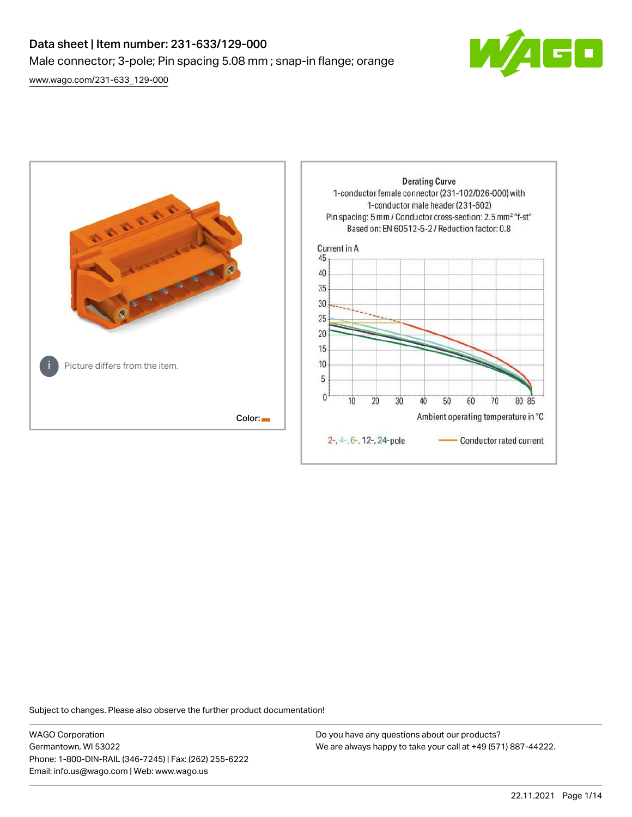# Data sheet | Item number: 231-633/129-000 Male connector; 3-pole; Pin spacing 5.08 mm ; snap-in flange; orange [www.wago.com/231-633\\_129-000](http://www.wago.com/231-633_129-000)

 $\overline{\blacksquare}$ 



Subject to changes. Please also observe the further product documentation!

WAGO Corporation Germantown, WI 53022 Phone: 1-800-DIN-RAIL (346-7245) | Fax: (262) 255-6222 Email: info.us@wago.com | Web: www.wago.us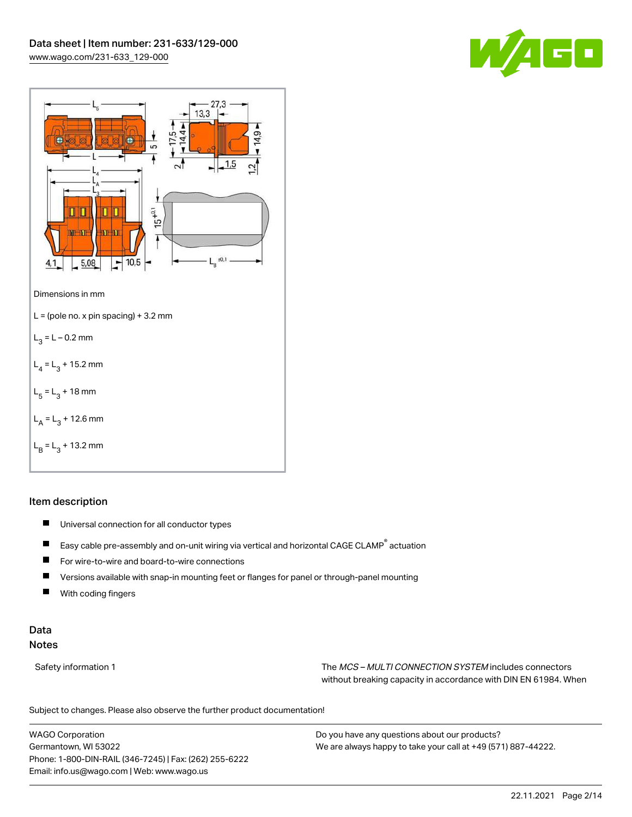



#### Item description

- $\blacksquare$ Universal connection for all conductor types
- $\blacksquare$ Easy cable pre-assembly and on-unit wiring via vertical and horizontal CAGE CLAMP® actuation
- $\blacksquare$ For wire-to-wire and board-to-wire connections
- $\blacksquare$ Versions available with snap-in mounting feet or flanges for panel or through-panel mounting
- П With coding fingers

## Data Notes

Safety information 1 The MCS – MULTI CONNECTION SYSTEM includes connectors without breaking capacity in accordance with DIN EN 61984. When

Subject to changes. Please also observe the further product documentation!  $\mathbf{u}$ 

WAGO Corporation Germantown, WI 53022 Phone: 1-800-DIN-RAIL (346-7245) | Fax: (262) 255-6222 Email: info.us@wago.com | Web: www.wago.us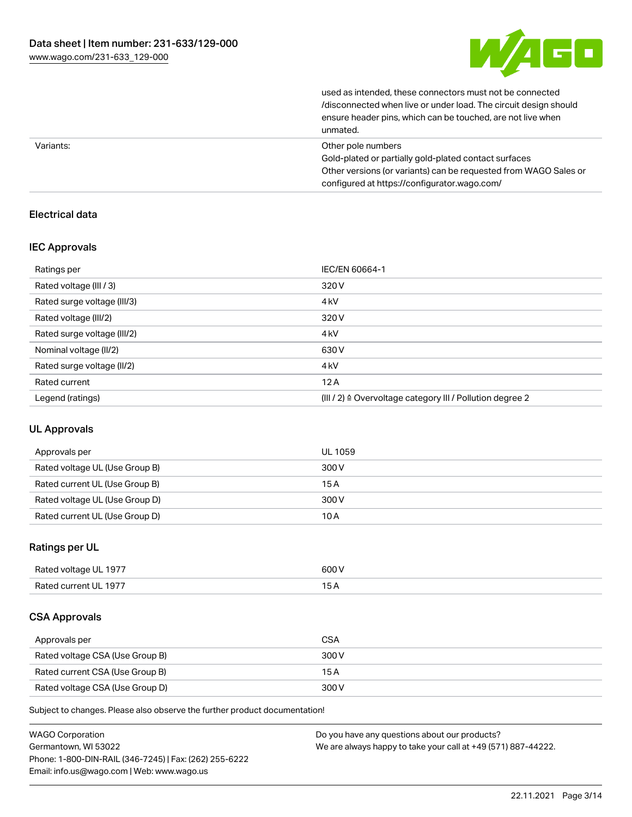

used as intended, these connectors must not be connected /disconnected when live or under load. The circuit design should ensure header pins, which can be touched, are not live when unmated.

|           | ----------                                                       |
|-----------|------------------------------------------------------------------|
| Variants: | Other pole numbers                                               |
|           | Gold-plated or partially gold-plated contact surfaces            |
|           | Other versions (or variants) can be requested from WAGO Sales or |
|           | configured at https://configurator.wago.com/                     |

## Electrical data

#### IEC Approvals

| Ratings per                 | IEC/EN 60664-1                                                       |
|-----------------------------|----------------------------------------------------------------------|
| Rated voltage (III / 3)     | 320 V                                                                |
| Rated surge voltage (III/3) | 4 <sub>kV</sub>                                                      |
| Rated voltage (III/2)       | 320 V                                                                |
| Rated surge voltage (III/2) | 4 <sub>k</sub> V                                                     |
| Nominal voltage (II/2)      | 630 V                                                                |
| Rated surge voltage (II/2)  | 4 <sub>k</sub> V                                                     |
| Rated current               | 12A                                                                  |
| Legend (ratings)            | (III / 2) $\triangleq$ Overvoltage category III / Pollution degree 2 |

### UL Approvals

| Approvals per                  | UL 1059 |
|--------------------------------|---------|
| Rated voltage UL (Use Group B) | 300 V   |
| Rated current UL (Use Group B) | 15A     |
| Rated voltage UL (Use Group D) | 300 V   |
| Rated current UL (Use Group D) | 10 A    |

### Ratings per UL

| Rated voltage UL 1977 | 600 V |
|-----------------------|-------|
| Rated current UL 1977 |       |

#### CSA Approvals

| Approvals per                   | <b>CSA</b> |
|---------------------------------|------------|
| Rated voltage CSA (Use Group B) | 300 V      |
| Rated current CSA (Use Group B) | 15 A       |
| Rated voltage CSA (Use Group D) | 300 V      |

Subject to changes. Please also observe the further product documentation!

| <b>WAGO Corporation</b>                                | Do you have any questions about our products?                 |
|--------------------------------------------------------|---------------------------------------------------------------|
| Germantown, WI 53022                                   | We are always happy to take your call at +49 (571) 887-44222. |
| Phone: 1-800-DIN-RAIL (346-7245)   Fax: (262) 255-6222 |                                                               |
| Email: info.us@wago.com   Web: www.wago.us             |                                                               |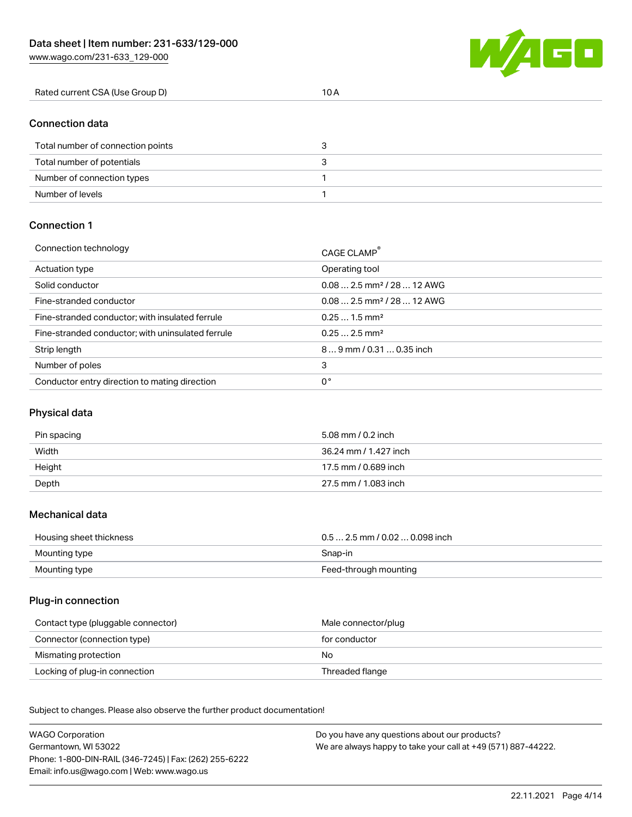

| Rated current CSA (Use Group D) | 10 A |
|---------------------------------|------|
|---------------------------------|------|

#### Connection data

| Total number of connection points |  |
|-----------------------------------|--|
| Total number of potentials        |  |
| Number of connection types        |  |
| Number of levels                  |  |

#### Connection 1

| Connection technology                             | CAGE CLAMP®                             |
|---------------------------------------------------|-----------------------------------------|
| Actuation type                                    | Operating tool                          |
| Solid conductor                                   | $0.082.5$ mm <sup>2</sup> / 28  12 AWG  |
| Fine-stranded conductor                           | $0.08$ 2.5 mm <sup>2</sup> / 28  12 AWG |
| Fine-stranded conductor; with insulated ferrule   | $0.251.5$ mm <sup>2</sup>               |
| Fine-stranded conductor; with uninsulated ferrule | $0.252.5$ mm <sup>2</sup>               |
| Strip length                                      | $89$ mm / 0.31  0.35 inch               |
| Number of poles                                   | 3                                       |
| Conductor entry direction to mating direction     | 0°                                      |

## Physical data

| Pin spacing | 5.08 mm / 0.2 inch    |
|-------------|-----------------------|
| Width       | 36.24 mm / 1.427 inch |
| Height      | 17.5 mm / 0.689 inch  |
| Depth       | 27.5 mm / 1.083 inch  |

#### Mechanical data

| Housing sheet thickness | $0.5$ 2.5 mm / 0.02  0.098 inch |
|-------------------------|---------------------------------|
| Mounting type           | Snap-in                         |
| Mounting type           | Feed-through mounting           |

#### Plug-in connection

| Contact type (pluggable connector) | Male connector/plug |
|------------------------------------|---------------------|
| Connector (connection type)        | for conductor       |
| Mismating protection               | No                  |
| Locking of plug-in connection      | Threaded flange     |

Subject to changes. Please also observe the further product documentation! Material data

| <b>WAGO Corporation</b>                                | Do you have any questions about our products?                 |
|--------------------------------------------------------|---------------------------------------------------------------|
| Germantown, WI 53022                                   | We are always happy to take your call at +49 (571) 887-44222. |
| Phone: 1-800-DIN-RAIL (346-7245)   Fax: (262) 255-6222 |                                                               |
| Email: info.us@wago.com   Web: www.wago.us             |                                                               |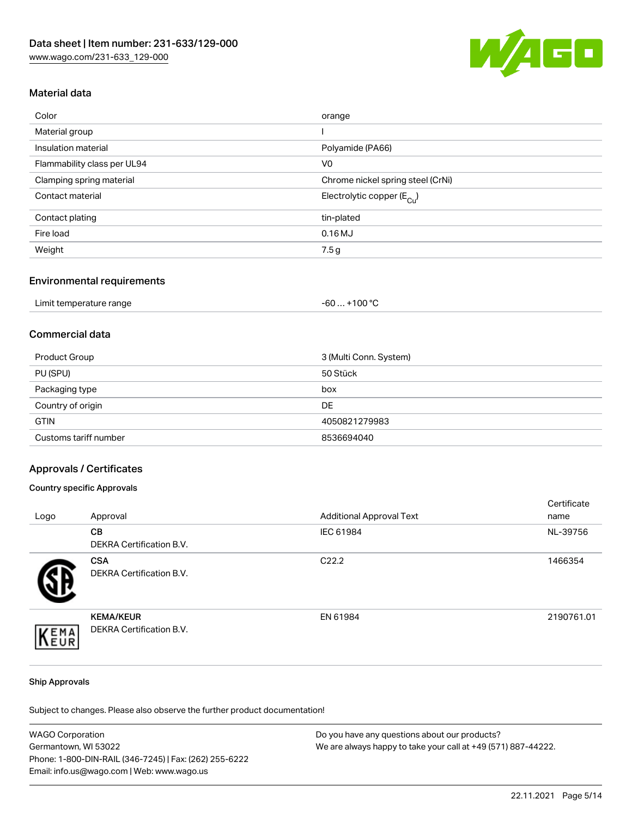

## Material data

| Color                       | orange                                 |
|-----------------------------|----------------------------------------|
| Material group              |                                        |
| Insulation material         | Polyamide (PA66)                       |
| Flammability class per UL94 | V <sub>0</sub>                         |
| Clamping spring material    | Chrome nickel spring steel (CrNi)      |
| Contact material            | Electrolytic copper (E <sub>Cu</sub> ) |
| Contact plating             | tin-plated                             |
| Fire load                   | 0.16MJ                                 |
| Weight                      | 7.5 g                                  |

#### Environmental requirements

| Limit temperature range | .+100 $^{\circ}$ C<br>-60 |
|-------------------------|---------------------------|
|-------------------------|---------------------------|

## Commercial data

| Product Group         | 3 (Multi Conn. System) |
|-----------------------|------------------------|
| PU (SPU)              | 50 Stück               |
| Packaging type        | box                    |
| Country of origin     | DE                     |
| <b>GTIN</b>           | 4050821279983          |
| Customs tariff number | 8536694040             |

### Approvals / Certificates

#### Country specific Approvals

| Logo | Approval                                            | <b>Additional Approval Text</b> | Certificate<br>name |
|------|-----------------------------------------------------|---------------------------------|---------------------|
|      | <b>CB</b><br>DEKRA Certification B.V.               | IEC 61984                       | NL-39756            |
|      | <b>CSA</b><br>DEKRA Certification B.V.              | C <sub>22.2</sub>               | 1466354             |
| EMA  | <b>KEMA/KEUR</b><br><b>DEKRA Certification B.V.</b> | EN 61984                        | 2190761.01          |

#### Ship Approvals

Subject to changes. Please also observe the further product documentation!

| <b>WAGO Corporation</b>                                | Do you have any questions about our products?                 |
|--------------------------------------------------------|---------------------------------------------------------------|
| Germantown, WI 53022                                   | We are always happy to take your call at +49 (571) 887-44222. |
| Phone: 1-800-DIN-RAIL (346-7245)   Fax: (262) 255-6222 |                                                               |
| Email: info.us@wago.com   Web: www.wago.us             |                                                               |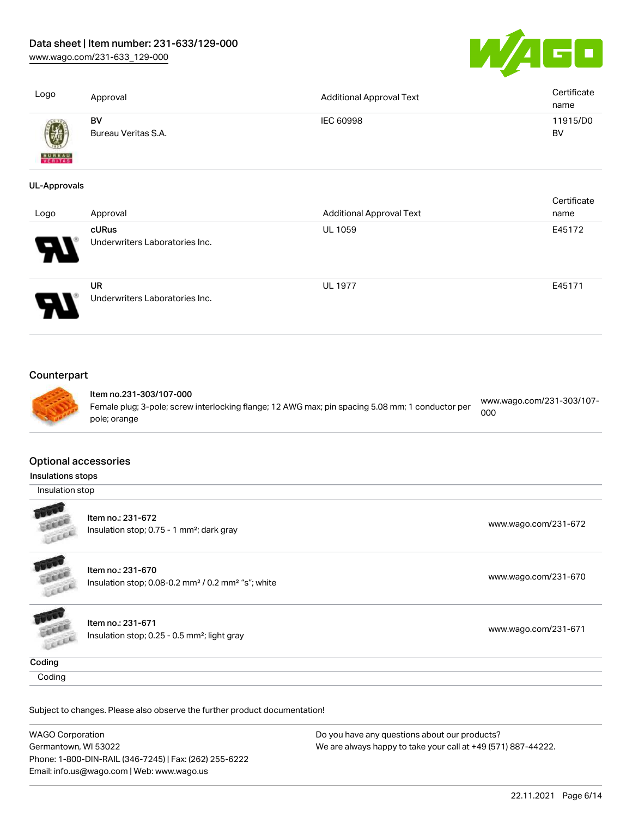[www.wago.com/231-633\\_129-000](http://www.wago.com/231-633_129-000)



| Logo                                             | Approval                                                                                                                                    | <b>Additional Approval Text</b> | Certificate<br>name              |
|--------------------------------------------------|---------------------------------------------------------------------------------------------------------------------------------------------|---------------------------------|----------------------------------|
|                                                  | BV<br>Bureau Veritas S.A.                                                                                                                   | <b>IEC 60998</b>                | 11915/D0<br><b>BV</b>            |
| <b>UL-Approvals</b>                              |                                                                                                                                             |                                 |                                  |
| Logo                                             | Approval                                                                                                                                    | <b>Additional Approval Text</b> | Certificate<br>name              |
|                                                  | cURus<br>Underwriters Laboratories Inc.                                                                                                     | <b>UL 1059</b>                  | E45172                           |
|                                                  | <b>UR</b><br>Underwriters Laboratories Inc.                                                                                                 | <b>UL 1977</b>                  | E45171                           |
|                                                  |                                                                                                                                             |                                 |                                  |
| Counterpart                                      | Item no.231-303/107-000<br>Female plug; 3-pole; screw interlocking flange; 12 AWG max; pin spacing 5.08 mm; 1 conductor per<br>pole; orange |                                 | www.wago.com/231-303/107-<br>000 |
| <b>Optional accessories</b><br>Insulations stops |                                                                                                                                             |                                 |                                  |
| Insulation stop                                  |                                                                                                                                             |                                 |                                  |
| LEEEE                                            | Item no.: 231-672<br>Insulation stop; 0.75 - 1 mm <sup>2</sup> ; dark gray                                                                  |                                 | www.wago.com/231-672             |
|                                                  | Item no.: 231-670<br>Insulation stop; 0.08-0.2 mm <sup>2</sup> / 0.2 mm <sup>2</sup> "s"; white                                             |                                 | www.wago.com/231-670             |
| LEEEE<br>LEEL                                    | Item no.: 231-671<br>Insulation stop; 0.25 - 0.5 mm <sup>2</sup> ; light gray                                                               |                                 | www.wago.com/231-671             |
| Coding                                           |                                                                                                                                             |                                 |                                  |

WAGO Corporation Germantown, WI 53022 Phone: 1-800-DIN-RAIL (346-7245) | Fax: (262) 255-6222 Email: info.us@wago.com | Web: www.wago.us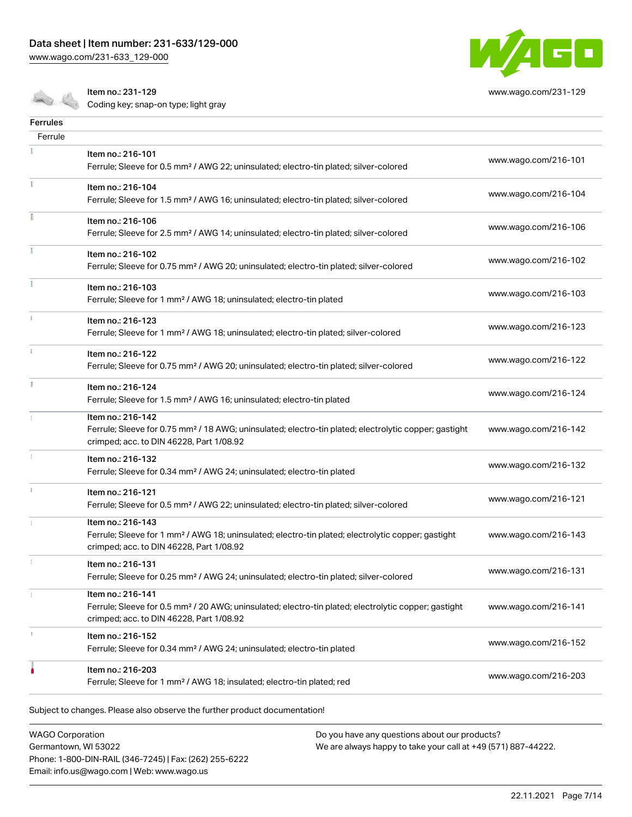Item no.: 231-129

[www.wago.com/231-633\\_129-000](http://www.wago.com/231-633_129-000)

a, a



[www.wago.com/231-129](http://www.wago.com/231-129)

Coding key; snap-on type; light gray

| <b>Ferrules</b> |                                                                                                                                                                                    |                      |
|-----------------|------------------------------------------------------------------------------------------------------------------------------------------------------------------------------------|----------------------|
| Ferrule         |                                                                                                                                                                                    |                      |
|                 | Item no.: 216-101<br>Ferrule; Sleeve for 0.5 mm <sup>2</sup> / AWG 22; uninsulated; electro-tin plated; silver-colored                                                             | www.wago.com/216-101 |
|                 | Item no.: 216-104<br>Ferrule; Sleeve for 1.5 mm <sup>2</sup> / AWG 16; uninsulated; electro-tin plated; silver-colored                                                             | www.wago.com/216-104 |
|                 | Item no.: 216-106<br>Ferrule; Sleeve for 2.5 mm <sup>2</sup> / AWG 14; uninsulated; electro-tin plated; silver-colored                                                             | www.wago.com/216-106 |
|                 | Item no.: 216-102<br>Ferrule; Sleeve for 0.75 mm <sup>2</sup> / AWG 20; uninsulated; electro-tin plated; silver-colored                                                            | www.wago.com/216-102 |
|                 | Item no.: 216-103<br>Ferrule; Sleeve for 1 mm <sup>2</sup> / AWG 18; uninsulated; electro-tin plated                                                                               | www.wago.com/216-103 |
|                 | Item no.: 216-123<br>Ferrule; Sleeve for 1 mm <sup>2</sup> / AWG 18; uninsulated; electro-tin plated; silver-colored                                                               | www.wago.com/216-123 |
|                 | Item no.: 216-122<br>Ferrule; Sleeve for 0.75 mm <sup>2</sup> / AWG 20; uninsulated; electro-tin plated; silver-colored                                                            | www.wago.com/216-122 |
|                 | Item no.: 216-124<br>Ferrule; Sleeve for 1.5 mm <sup>2</sup> / AWG 16; uninsulated; electro-tin plated                                                                             | www.wago.com/216-124 |
|                 | Item no.: 216-142<br>Ferrule; Sleeve for 0.75 mm <sup>2</sup> / 18 AWG; uninsulated; electro-tin plated; electrolytic copper; gastight<br>crimped; acc. to DIN 46228, Part 1/08.92 | www.wago.com/216-142 |
|                 | Item no.: 216-132<br>Ferrule; Sleeve for 0.34 mm <sup>2</sup> / AWG 24; uninsulated; electro-tin plated                                                                            | www.wago.com/216-132 |
|                 | Item no.: 216-121<br>Ferrule; Sleeve for 0.5 mm <sup>2</sup> / AWG 22; uninsulated; electro-tin plated; silver-colored                                                             | www.wago.com/216-121 |
|                 | Item no.: 216-143<br>Ferrule; Sleeve for 1 mm <sup>2</sup> / AWG 18; uninsulated; electro-tin plated; electrolytic copper; gastight<br>crimped; acc. to DIN 46228, Part 1/08.92    | www.wago.com/216-143 |
|                 | Item no.: 216-131<br>Ferrule; Sleeve for 0.25 mm <sup>2</sup> / AWG 24; uninsulated; electro-tin plated; silver-colored                                                            | www.wago.com/216-131 |
|                 | Item no.: 216-141<br>Ferrule; Sleeve for 0.5 mm <sup>2</sup> / 20 AWG; uninsulated; electro-tin plated; electrolytic copper; gastight<br>crimped; acc. to DIN 46228, Part 1/08.92  | www.wago.com/216-141 |
|                 | Item no.: 216-152<br>Ferrule; Sleeve for 0.34 mm <sup>2</sup> / AWG 24; uninsulated; electro-tin plated                                                                            | www.wago.com/216-152 |
|                 | Item no.: 216-203<br>Ferrule; Sleeve for 1 mm <sup>2</sup> / AWG 18; insulated; electro-tin plated; red                                                                            | www.wago.com/216-203 |

WAGO Corporation Germantown, WI 53022 Phone: 1-800-DIN-RAIL (346-7245) | Fax: (262) 255-6222 Email: info.us@wago.com | Web: www.wago.us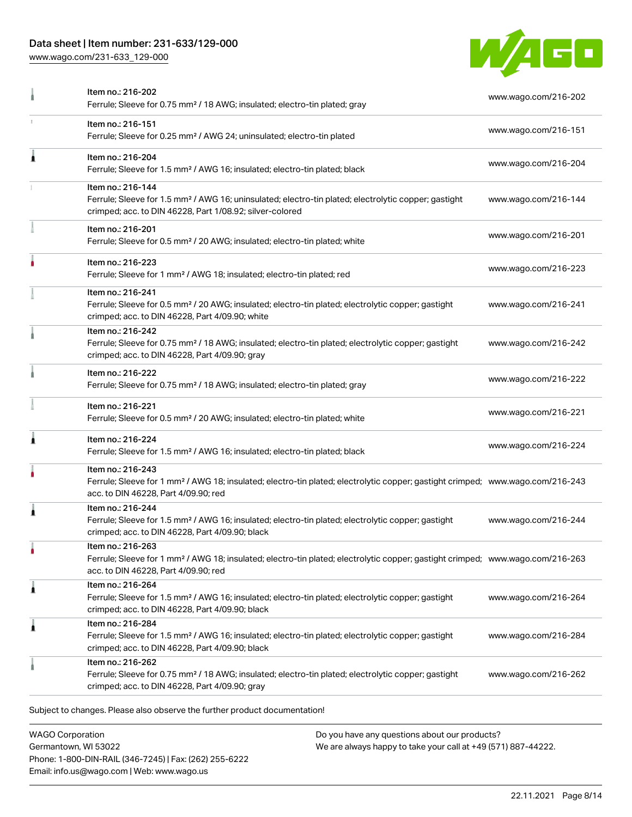## Data sheet | Item number: 231-633/129-000

[www.wago.com/231-633\\_129-000](http://www.wago.com/231-633_129-000)



|    | Item no.: 216-202<br>Ferrule; Sleeve for 0.75 mm <sup>2</sup> / 18 AWG; insulated; electro-tin plated; gray                                                                                             | www.wago.com/216-202 |
|----|---------------------------------------------------------------------------------------------------------------------------------------------------------------------------------------------------------|----------------------|
| T. | Item no.: 216-151<br>Ferrule; Sleeve for 0.25 mm <sup>2</sup> / AWG 24; uninsulated; electro-tin plated                                                                                                 | www.wago.com/216-151 |
| 1  | Item no.: 216-204<br>Ferrule; Sleeve for 1.5 mm <sup>2</sup> / AWG 16; insulated; electro-tin plated; black                                                                                             | www.wago.com/216-204 |
|    | Item no.: 216-144<br>Ferrule; Sleeve for 1.5 mm <sup>2</sup> / AWG 16; uninsulated; electro-tin plated; electrolytic copper; gastight<br>crimped; acc. to DIN 46228, Part 1/08.92; silver-colored       | www.wago.com/216-144 |
|    | Item no.: 216-201<br>Ferrule; Sleeve for 0.5 mm <sup>2</sup> / 20 AWG; insulated; electro-tin plated; white                                                                                             | www.wago.com/216-201 |
|    | Item no.: 216-223<br>Ferrule; Sleeve for 1 mm <sup>2</sup> / AWG 18; insulated; electro-tin plated; red                                                                                                 | www.wago.com/216-223 |
|    | Item no.: 216-241<br>Ferrule; Sleeve for 0.5 mm <sup>2</sup> / 20 AWG; insulated; electro-tin plated; electrolytic copper; gastight<br>crimped; acc. to DIN 46228, Part 4/09.90; white                  | www.wago.com/216-241 |
|    | Item no.: 216-242<br>Ferrule; Sleeve for 0.75 mm <sup>2</sup> / 18 AWG; insulated; electro-tin plated; electrolytic copper; gastight<br>crimped; acc. to DIN 46228, Part 4/09.90; gray                  | www.wago.com/216-242 |
|    | Item no.: 216-222<br>Ferrule; Sleeve for 0.75 mm <sup>2</sup> / 18 AWG; insulated; electro-tin plated; gray                                                                                             | www.wago.com/216-222 |
|    | Item no.: 216-221<br>Ferrule; Sleeve for 0.5 mm <sup>2</sup> / 20 AWG; insulated; electro-tin plated; white                                                                                             | www.wago.com/216-221 |
|    | Item no.: 216-224<br>Ferrule; Sleeve for 1.5 mm <sup>2</sup> / AWG 16; insulated; electro-tin plated; black                                                                                             | www.wago.com/216-224 |
|    | Item no.: 216-243<br>Ferrule; Sleeve for 1 mm <sup>2</sup> / AWG 18; insulated; electro-tin plated; electrolytic copper; gastight crimped; www.wago.com/216-243<br>acc. to DIN 46228, Part 4/09.90; red |                      |
| 1  | Item no.: 216-244<br>Ferrule; Sleeve for 1.5 mm <sup>2</sup> / AWG 16; insulated; electro-tin plated; electrolytic copper; gastight<br>crimped; acc. to DIN 46228, Part 4/09.90; black                  | www.wago.com/216-244 |
|    | Item no.: 216-263<br>Ferrule; Sleeve for 1 mm <sup>2</sup> / AWG 18; insulated; electro-tin plated; electrolytic copper; gastight crimped; www.wago.com/216-263<br>acc. to DIN 46228, Part 4/09.90; red |                      |
| 1  | Item no.: 216-264<br>Ferrule; Sleeve for 1.5 mm <sup>2</sup> / AWG 16; insulated; electro-tin plated; electrolytic copper; gastight<br>crimped; acc. to DIN 46228, Part 4/09.90; black                  | www.wago.com/216-264 |
| 1  | Item no.: 216-284<br>Ferrule; Sleeve for 1.5 mm <sup>2</sup> / AWG 16; insulated; electro-tin plated; electrolytic copper; gastight<br>crimped; acc. to DIN 46228, Part 4/09.90; black                  | www.wago.com/216-284 |
|    | Item no.: 216-262<br>Ferrule; Sleeve for 0.75 mm <sup>2</sup> / 18 AWG; insulated; electro-tin plated; electrolytic copper; gastight<br>crimped; acc. to DIN 46228, Part 4/09.90; gray                  | www.wago.com/216-262 |

WAGO Corporation Germantown, WI 53022 Phone: 1-800-DIN-RAIL (346-7245) | Fax: (262) 255-6222 Email: info.us@wago.com | Web: www.wago.us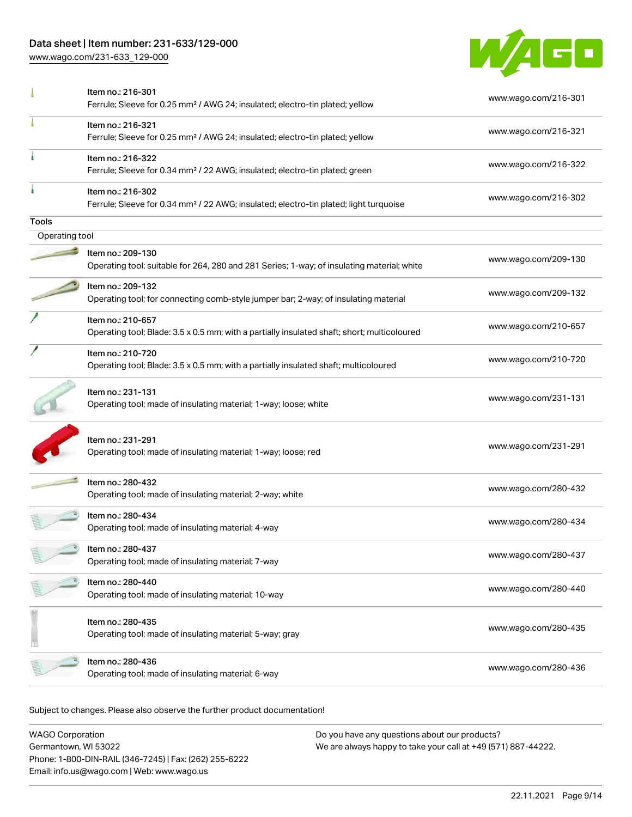## Data sheet | Item number: 231-633/129-000

[www.wago.com/231-633\\_129-000](http://www.wago.com/231-633_129-000)



|                | Item no.: 216-301<br>Ferrule; Sleeve for 0.25 mm <sup>2</sup> / AWG 24; insulated; electro-tin plated; yellow          | www.wago.com/216-301 |
|----------------|------------------------------------------------------------------------------------------------------------------------|----------------------|
|                | Item no.: 216-321<br>Ferrule; Sleeve for 0.25 mm <sup>2</sup> / AWG 24; insulated; electro-tin plated; yellow          | www.wago.com/216-321 |
| ٠              | Item no.: 216-322<br>Ferrule; Sleeve for 0.34 mm <sup>2</sup> / 22 AWG; insulated; electro-tin plated; green           | www.wago.com/216-322 |
|                | Item no.: 216-302<br>Ferrule; Sleeve for 0.34 mm <sup>2</sup> / 22 AWG; insulated; electro-tin plated; light turquoise | www.wago.com/216-302 |
| <b>Tools</b>   |                                                                                                                        |                      |
| Operating tool |                                                                                                                        |                      |
|                | Item no.: 209-130<br>Operating tool; suitable for 264, 280 and 281 Series; 1-way; of insulating material; white        | www.wago.com/209-130 |
|                | Item no.: 209-132<br>Operating tool; for connecting comb-style jumper bar; 2-way; of insulating material               | www.wago.com/209-132 |
|                | Item no.: 210-657<br>Operating tool; Blade: 3.5 x 0.5 mm; with a partially insulated shaft; short; multicoloured       | www.wago.com/210-657 |
|                | Item no.: 210-720<br>Operating tool; Blade: 3.5 x 0.5 mm; with a partially insulated shaft; multicoloured              | www.wago.com/210-720 |
|                | Item no.: 231-131<br>Operating tool; made of insulating material; 1-way; loose; white                                  | www.wago.com/231-131 |
|                | Item no.: 231-291<br>Operating tool; made of insulating material; 1-way; loose; red                                    | www.wago.com/231-291 |
|                | Item no.: 280-432<br>Operating tool; made of insulating material; 2-way; white                                         | www.wago.com/280-432 |
|                | Item no.: 280-434<br>Operating tool; made of insulating material; 4-way                                                | www.wago.com/280-434 |
|                | Item no.: 280-437<br>Operating tool; made of insulating material; 7-way                                                | www.wago.com/280-437 |
|                | Item no.: 280-440<br>Operating tool; made of insulating material; 10-way                                               | www.wago.com/280-440 |
|                | Item no.: 280-435<br>Operating tool; made of insulating material; 5-way; gray                                          | www.wago.com/280-435 |
|                | Item no.: 280-436<br>Operating tool; made of insulating material; 6-way                                                | www.wago.com/280-436 |
|                |                                                                                                                        |                      |

Subject to changes. Please also observe the further product documentation!

WAGO Corporation Germantown, WI 53022 Phone: 1-800-DIN-RAIL (346-7245) | Fax: (262) 255-6222 Email: info.us@wago.com | Web: www.wago.us Do you have any questions about our products? We are always happy to take your call at +49 (571) 887-44222.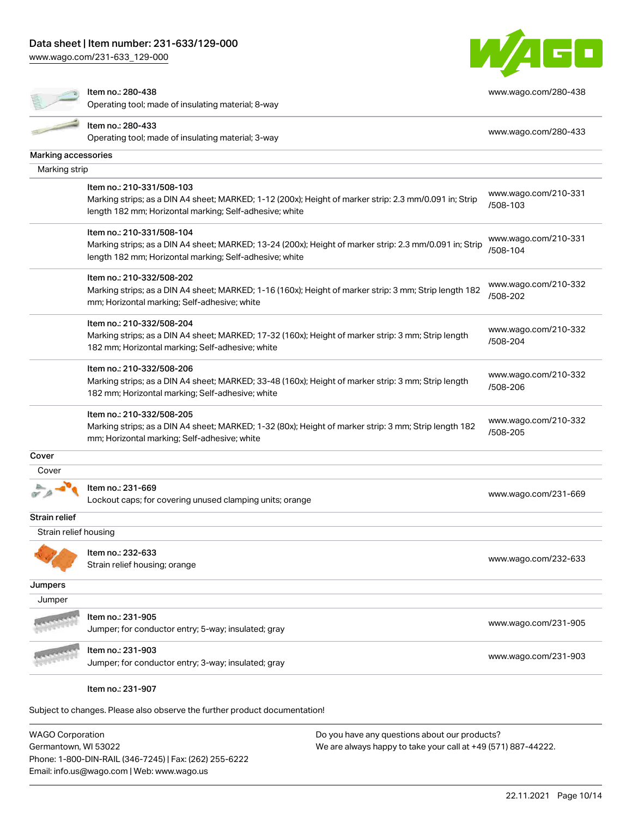Item no.: 280-438

[www.wago.com/231-633\\_129-000](http://www.wago.com/231-633_129-000)

 $\mathcal{R}$ 



[www.wago.com/280-438](http://www.wago.com/280-438)

|                       | Operating tool; made of insulating material; 8-way                                                      |                                  |
|-----------------------|---------------------------------------------------------------------------------------------------------|----------------------------------|
|                       | Item no.: 280-433                                                                                       |                                  |
|                       | Operating tool; made of insulating material; 3-way                                                      | www.wago.com/280-433             |
| Marking accessories   |                                                                                                         |                                  |
| Marking strip         |                                                                                                         |                                  |
|                       | Item no.: 210-331/508-103                                                                               | www.wago.com/210-331             |
|                       | Marking strips; as a DIN A4 sheet; MARKED; 1-12 (200x); Height of marker strip: 2.3 mm/0.091 in; Strip  | /508-103                         |
|                       | length 182 mm; Horizontal marking; Self-adhesive; white                                                 |                                  |
|                       | Item no.: 210-331/508-104                                                                               |                                  |
|                       | Marking strips; as a DIN A4 sheet; MARKED; 13-24 (200x); Height of marker strip: 2.3 mm/0.091 in; Strip | www.wago.com/210-331<br>/508-104 |
|                       | length 182 mm; Horizontal marking; Self-adhesive; white                                                 |                                  |
|                       | Item no.: 210-332/508-202                                                                               |                                  |
|                       | Marking strips; as a DIN A4 sheet; MARKED; 1-16 (160x); Height of marker strip: 3 mm; Strip length 182  | www.wago.com/210-332             |
|                       | mm; Horizontal marking; Self-adhesive; white                                                            | /508-202                         |
|                       | Item no.: 210-332/508-204                                                                               |                                  |
|                       | Marking strips; as a DIN A4 sheet; MARKED; 17-32 (160x); Height of marker strip: 3 mm; Strip length     | www.wago.com/210-332             |
|                       | 182 mm; Horizontal marking; Self-adhesive; white                                                        | /508-204                         |
|                       | Item no.: 210-332/508-206                                                                               |                                  |
|                       | Marking strips; as a DIN A4 sheet; MARKED; 33-48 (160x); Height of marker strip: 3 mm; Strip length     | www.wago.com/210-332             |
|                       | 182 mm; Horizontal marking; Self-adhesive; white                                                        | /508-206                         |
|                       | Item no.: 210-332/508-205                                                                               |                                  |
|                       | Marking strips; as a DIN A4 sheet; MARKED; 1-32 (80x); Height of marker strip: 3 mm; Strip length 182   | www.wago.com/210-332<br>/508-205 |
|                       | mm; Horizontal marking; Self-adhesive; white                                                            |                                  |
| Cover                 |                                                                                                         |                                  |
| Cover                 |                                                                                                         |                                  |
|                       | Item no.: 231-669                                                                                       |                                  |
|                       | Lockout caps; for covering unused clamping units; orange                                                | www.wago.com/231-669             |
| <b>Strain relief</b>  |                                                                                                         |                                  |
| Strain relief housing |                                                                                                         |                                  |
|                       | Item no.: 232-633                                                                                       |                                  |
|                       | Strain relief housing; orange                                                                           | www.wago.com/232-633             |
| Jumpers               |                                                                                                         |                                  |
| Jumper                |                                                                                                         |                                  |
|                       | Item no.: 231-905                                                                                       |                                  |
|                       |                                                                                                         | www.wago.com/231-905             |
|                       | Jumper; for conductor entry; 5-way; insulated; gray                                                     |                                  |
|                       | Item no.: 231-903                                                                                       | www.wago.com/231-903             |
|                       | Jumper; for conductor entry; 3-way; insulated; gray                                                     |                                  |
|                       | Item no.: 231-907                                                                                       |                                  |
|                       |                                                                                                         |                                  |
|                       | Subject to changes. Please also observe the further product documentation!                              |                                  |

WAGO Corporation Germantown, WI 53022 Phone: 1-800-DIN-RAIL (346-7245) | Fax: (262) 255-6222 Email: info.us@wago.com | Web: www.wago.us Do you have any questions about our products? We are always happy to take your call at +49 (571) 887-44222.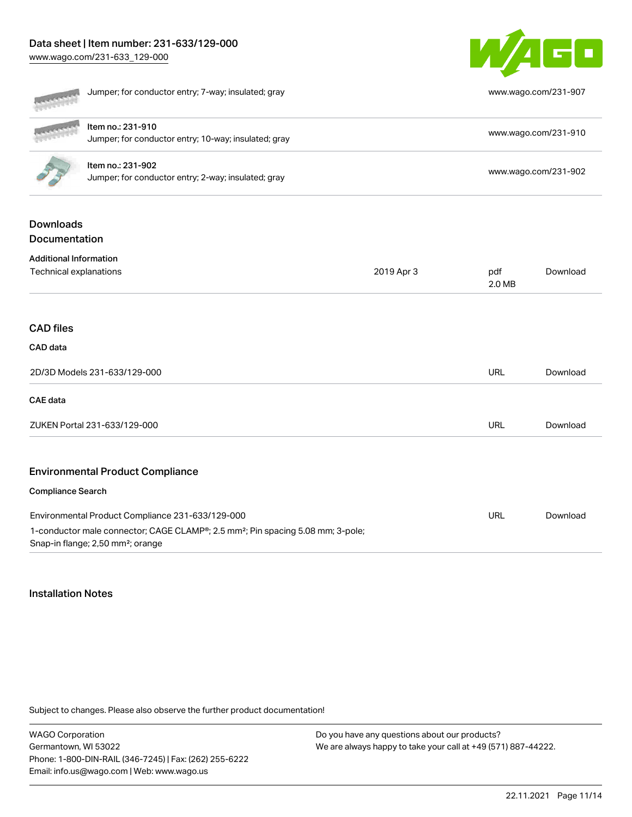# Data sheet | Item number: 231-633/129-000

[www.wago.com/231-633\\_129-000](http://www.wago.com/231-633_129-000)



|                                   | Jumper; for conductor entry; 7-way; insulated; gray                                                                                                       |            |               | www.wago.com/231-907 |
|-----------------------------------|-----------------------------------------------------------------------------------------------------------------------------------------------------------|------------|---------------|----------------------|
|                                   | Item no.: 231-910<br>Jumper; for conductor entry; 10-way; insulated; gray                                                                                 |            |               | www.wago.com/231-910 |
|                                   | Item no.: 231-902<br>Jumper; for conductor entry; 2-way; insulated; gray                                                                                  |            |               | www.wago.com/231-902 |
| <b>Downloads</b><br>Documentation |                                                                                                                                                           |            |               |                      |
| <b>Additional Information</b>     |                                                                                                                                                           |            |               |                      |
| Technical explanations            |                                                                                                                                                           | 2019 Apr 3 | pdf<br>2.0 MB | Download             |
| <b>CAD files</b>                  |                                                                                                                                                           |            |               |                      |
| CAD data                          |                                                                                                                                                           |            |               |                      |
|                                   | 2D/3D Models 231-633/129-000                                                                                                                              |            | <b>URL</b>    | Download             |
| <b>CAE</b> data                   |                                                                                                                                                           |            |               |                      |
|                                   | ZUKEN Portal 231-633/129-000                                                                                                                              |            | <b>URL</b>    | Download             |
|                                   | <b>Environmental Product Compliance</b>                                                                                                                   |            |               |                      |
| <b>Compliance Search</b>          |                                                                                                                                                           |            |               |                      |
|                                   | Environmental Product Compliance 231-633/129-000                                                                                                          |            | <b>URL</b>    | Download             |
|                                   | 1-conductor male connector; CAGE CLAMP <sup>®</sup> ; 2.5 mm <sup>2</sup> ; Pin spacing 5.08 mm; 3-pole;<br>Snap-in flange; 2,50 mm <sup>2</sup> ; orange |            |               |                      |

## Installation Notes

Subject to changes. Please also observe the further product documentation!

WAGO Corporation Germantown, WI 53022 Phone: 1-800-DIN-RAIL (346-7245) | Fax: (262) 255-6222 Email: info.us@wago.com | Web: www.wago.us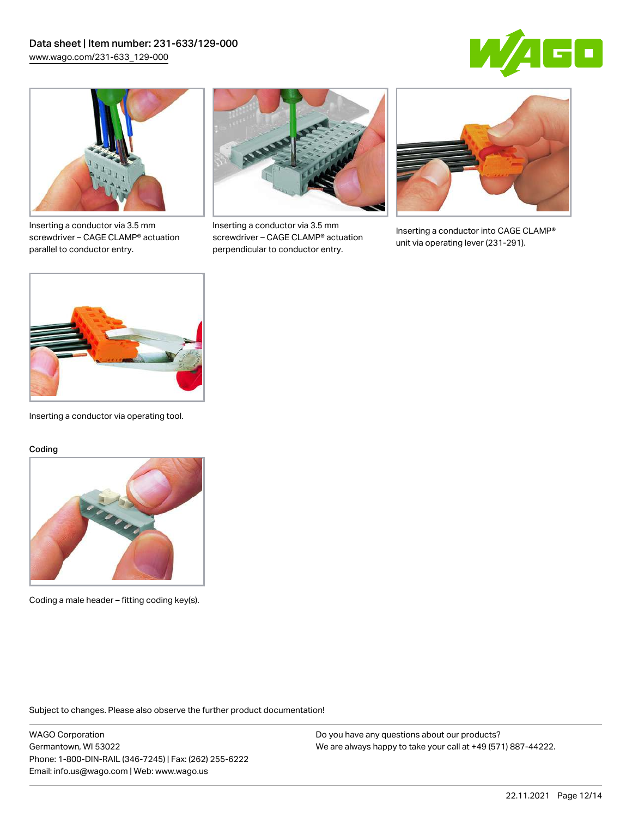



Inserting a conductor via 3.5 mm screwdriver – CAGE CLAMP® actuation parallel to conductor entry.



Inserting a conductor via 3.5 mm screwdriver – CAGE CLAMP® actuation perpendicular to conductor entry.



Inserting a conductor into CAGE CLAMP® unit via operating lever (231-291).



Inserting a conductor via operating tool.

#### Coding



Coding a male header – fitting coding key(s).

Subject to changes. Please also observe the further product documentation!

WAGO Corporation Germantown, WI 53022 Phone: 1-800-DIN-RAIL (346-7245) | Fax: (262) 255-6222 Email: info.us@wago.com | Web: www.wago.us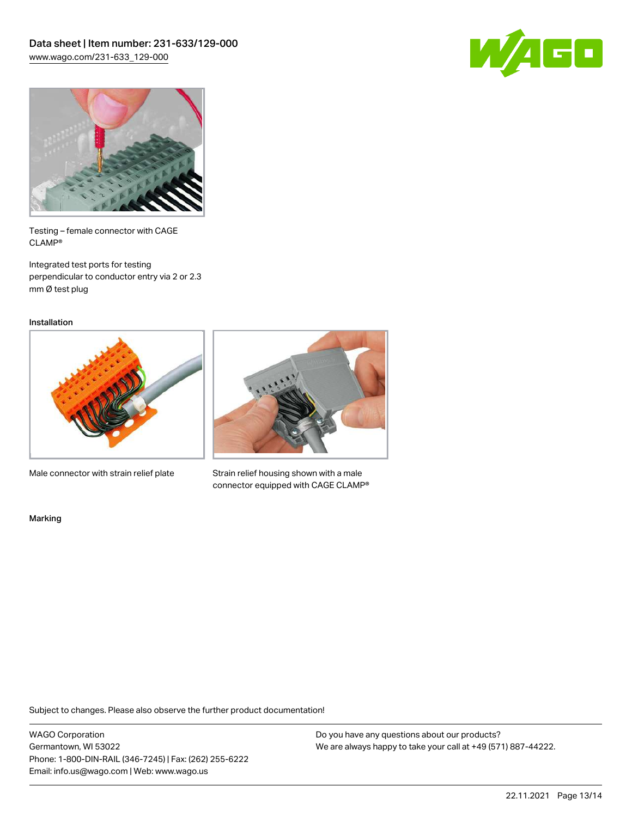



Testing – female connector with CAGE CLAMP®

Integrated test ports for testing perpendicular to conductor entry via 2 or 2.3 mm Ø test plug

Installation



Male connector with strain relief plate



Strain relief housing shown with a male connector equipped with CAGE CLAMP®

Marking

Subject to changes. Please also observe the further product documentation!

WAGO Corporation Germantown, WI 53022 Phone: 1-800-DIN-RAIL (346-7245) | Fax: (262) 255-6222 Email: info.us@wago.com | Web: www.wago.us